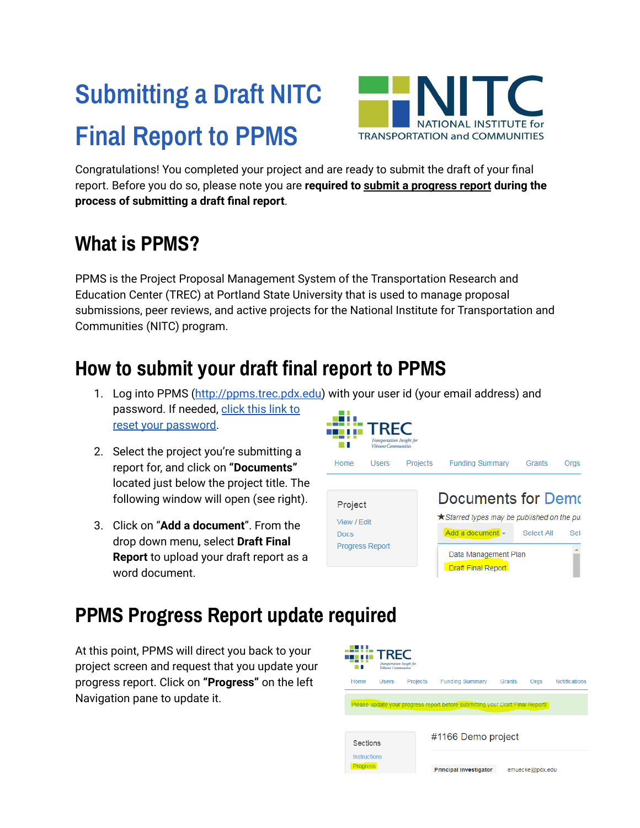# **Submitting a Draft NITC Final Report to PPMS**



Congratulations! You completed your project and are ready to submit the draft of your final report. Before you do so, please note you are **required to submit a progress report during the process of submitting a draft final report**.

## **What is PPMS?**

PPMS is the Project Proposal Management System of the Transportation Research and Education Center (TREC) at Portland State University that is used to manage proposal submissions, peer reviews, and active projects for the National Institute for Transportation and Communities (NITC) program.

## **How to submit your draft final report to PPMS**

- 1. Log into PPMS ([http://ppms.trec.pdx.edu\)](http://ppms.trec.pdx.edu) with your user id (your email address) and password. If needed, [click](http://ppms.trec.pdx.edu/password) this link to reset your [password.](http://ppms.trec.pdx.edu/password)
- 2. Select the project you're submitting a report for, and click on **"Documents"** located just below the project title. The following window will open (see right).
- 3. Click on "**Add a document**". From the drop down menu, select **Draft Final Report** to upload your draft report as a word document.



#### **PPMS Progress Report update required**

At this point, PPMS will direct you back to your project screen and request that you update your progress report. Click on **"Progress"** on the left Navigation pane to update it.